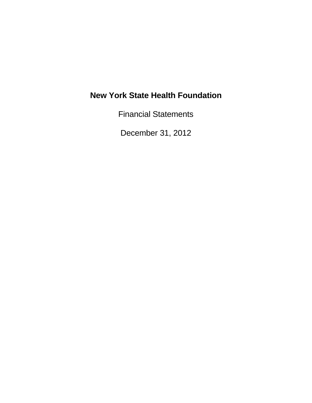Financial Statements

December 31, 2012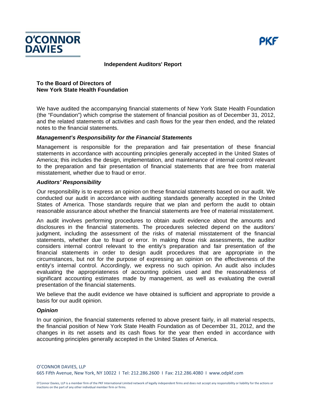



# **Independent Auditors' Report**

# **To the Board of Directors of New York State Health Foundation**

We have audited the accompanying financial statements of New York State Health Foundation (the "Foundation") which comprise the statement of financial position as of December 31, 2012, and the related statements of activities and cash flows for the year then ended, and the related notes to the financial statements.

# *Management's Responsibility for the Financial Statements*

Management is responsible for the preparation and fair presentation of these financial statements in accordance with accounting principles generally accepted in the United States of America; this includes the design, implementation, and maintenance of internal control relevant to the preparation and fair presentation of financial statements that are free from material misstatement, whether due to fraud or error.

# *Auditors' Responsibility*

Our responsibility is to express an opinion on these financial statements based on our audit. We conducted our audit in accordance with auditing standards generally accepted in the United States of America. Those standards require that we plan and perform the audit to obtain reasonable assurance about whether the financial statements are free of material misstatement.

An audit involves performing procedures to obtain audit evidence about the amounts and disclosures in the financial statements. The procedures selected depend on the auditors' judgment, including the assessment of the risks of material misstatement of the financial statements, whether due to fraud or error. In making those risk assessments, the auditor considers internal control relevant to the entity's preparation and fair presentation of the financial statements in order to design audit procedures that are appropriate in the circumstances, but not for the purpose of expressing an opinion on the effectiveness of the entity's internal control. Accordingly, we express no such opinion. An audit also includes evaluating the appropriateness of accounting policies used and the reasonableness of significant accounting estimates made by management, as well as evaluating the overall presentation of the financial statements.

We believe that the audit evidence we have obtained is sufficient and appropriate to provide a basis for our audit opinion.

# *Opinion*

In our opinion, the financial statements referred to above present fairly, in all material respects, the financial position of New York State Health Foundation as of December 31, 2012, and the changes in its net assets and its cash flows for the year then ended in accordance with accounting principles generally accepted in the United States of America.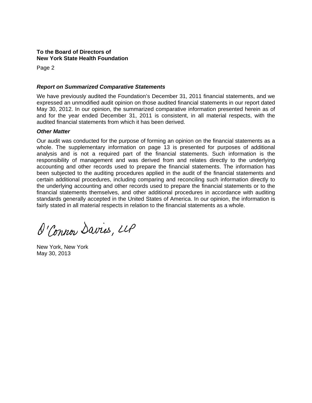# **To the Board of Directors of New York State Health Foundation**

Page 2

# *Report on Summarized Comparative Statements*

We have previously audited the Foundation's December 31, 2011 financial statements, and we expressed an unmodified audit opinion on those audited financial statements in our report dated May 30, 2012. In our opinion, the summarized comparative information presented herein as of and for the year ended December 31, 2011 is consistent, in all material respects, with the audited financial statements from which it has been derived.

# *Other Matter*

Our audit was conducted for the purpose of forming an opinion on the financial statements as a whole. The supplementary information on page 13 is presented for purposes of additional analysis and is not a required part of the financial statements. Such information is the responsibility of management and was derived from and relates directly to the underlying accounting and other records used to prepare the financial statements. The information has been subjected to the auditing procedures applied in the audit of the financial statements and certain additional procedures, including comparing and reconciling such information directly to the underlying accounting and other records used to prepare the financial statements or to the financial statements themselves, and other additional procedures in accordance with auditing standards generally accepted in the United States of America. In our opinion, the information is fairly stated in all material respects in relation to the financial statements as a whole.

O'Connor Davies, UP

New York, New York May 30, 2013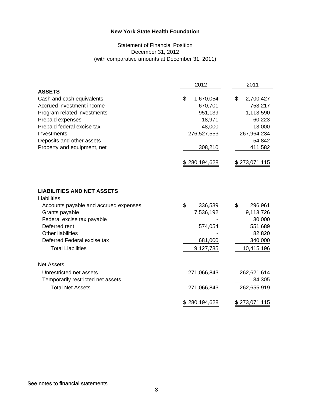# Statement of Financial Position December 31, 2012 (with comparative amounts at December 31, 2011)

|                                                                                                                                                                                                                                                   | 2012                                                          | 2011                                                                               |
|---------------------------------------------------------------------------------------------------------------------------------------------------------------------------------------------------------------------------------------------------|---------------------------------------------------------------|------------------------------------------------------------------------------------|
| <b>ASSETS</b>                                                                                                                                                                                                                                     |                                                               |                                                                                    |
| Cash and cash equivalents                                                                                                                                                                                                                         | \$<br>1,670,054                                               | \$<br>2,700,427                                                                    |
| Accrued investment income                                                                                                                                                                                                                         | 670,701                                                       | 753,217                                                                            |
| Program related investments                                                                                                                                                                                                                       | 951,139                                                       | 1,113,590                                                                          |
| Prepaid expenses                                                                                                                                                                                                                                  | 18,971                                                        | 60,223                                                                             |
| Prepaid federal excise tax                                                                                                                                                                                                                        | 48,000                                                        | 13,000                                                                             |
| Investments                                                                                                                                                                                                                                       | 276,527,553                                                   | 267,964,234                                                                        |
| Deposits and other assets                                                                                                                                                                                                                         |                                                               | 54,842                                                                             |
| Property and equipment, net                                                                                                                                                                                                                       | 308,210                                                       | 411,582                                                                            |
|                                                                                                                                                                                                                                                   | \$280,194,628                                                 | \$273,071,115                                                                      |
| <b>LIABILITIES AND NET ASSETS</b><br>Liabilities<br>Accounts payable and accrued expenses<br>Grants payable<br>Federal excise tax payable<br>Deferred rent<br><b>Other liabilities</b><br>Deferred Federal excise tax<br><b>Total Liabilities</b> | \$<br>336,539<br>7,536,192<br>574,054<br>681,000<br>9,127,785 | \$<br>296,961<br>9,113,726<br>30,000<br>551,689<br>82,820<br>340,000<br>10,415,196 |
|                                                                                                                                                                                                                                                   |                                                               |                                                                                    |
| <b>Net Assets</b>                                                                                                                                                                                                                                 |                                                               |                                                                                    |
| Unrestricted net assets                                                                                                                                                                                                                           | 271,066,843                                                   | 262,621,614                                                                        |
| Temporarily restricted net assets                                                                                                                                                                                                                 |                                                               | 34,305                                                                             |
| <b>Total Net Assets</b>                                                                                                                                                                                                                           | 271,066,843                                                   | 262,655,919                                                                        |
|                                                                                                                                                                                                                                                   | \$280,194,628                                                 | \$273,071,115                                                                      |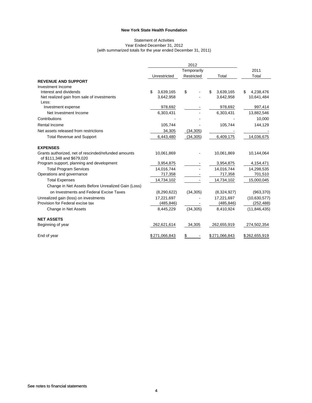#### Statement of Activities Year Ended December 31, 2012 (with summarized totals for the year ended December 31, 2011)

|                                                                                    | 2012        |               |    |            |                 |    |                |
|------------------------------------------------------------------------------------|-------------|---------------|----|------------|-----------------|----|----------------|
|                                                                                    | Temporarily |               |    | 2011       |                 |    |                |
|                                                                                    |             | Unrestricted  |    | Restricted | Total           |    | Total          |
| <b>REVENUE AND SUPPORT</b>                                                         |             |               |    |            |                 |    |                |
| Investment Income                                                                  |             |               |    |            |                 |    |                |
| Interest and dividends                                                             | \$          | 3,639,165     | \$ |            | \$<br>3,639,165 | \$ | 4,238,476      |
| Net realized gain from sale of investments<br>Less:                                |             | 3,642,958     |    |            | 3,642,958       |    | 10,641,484     |
| Investment expense                                                                 |             | 978,692       |    |            | 978,692         |    | 997,414        |
| Net Investment Income                                                              |             | 6,303,431     |    |            | 6,303,431       |    | 13,882,546     |
| Contributions                                                                      |             |               |    |            |                 |    | 10,000         |
| Rental Income                                                                      |             | 105,744       |    |            | 105,744         |    | 144,129        |
| Net assets released from restrictions                                              |             | 34,305        |    | (34, 305)  |                 |    |                |
| <b>Total Revenue and Support</b>                                                   |             | 6,443,480     |    | (34, 305)  | 6,409,175       |    | 14,036,675     |
| <b>EXPENSES</b>                                                                    |             |               |    |            |                 |    |                |
| Grants authorized, net of rescinded/refunded amounts<br>of \$111,348 and \$679,020 |             | 10,061,869    |    |            | 10,061,869      |    | 10,144,064     |
| Program support, planning and development                                          |             | 3,954,875     |    |            | 3,954,875       |    | 4,154,471      |
| <b>Total Program Services</b>                                                      |             | 14,016,744    |    |            | 14,016,744      |    | 14,298,535     |
| Operations and governance                                                          |             | 717,358       |    |            | 717,358         |    | 701,510        |
| <b>Total Expenses</b>                                                              |             | 14,734,102    |    |            | 14,734,102      |    | 15,000,045     |
| Change in Net Assets Before Unrealized Gain (Loss)                                 |             |               |    |            |                 |    |                |
| on Investments and Federal Excise Taxes                                            |             | (8,290,622)   |    | (34, 305)  | (8,324,927)     |    | (963, 370)     |
| Unrealized gain (loss) on investments                                              |             | 17,221,697    |    |            | 17,221,697      |    | (10,630,577)   |
| Provision for Federal excise tax                                                   |             | (485, 846)    |    |            | (485, 846)      |    | (252, 488)     |
| Change in Net Assets                                                               |             | 8,445,229     |    | (34, 305)  | 8,410,924       |    | (11, 846, 435) |
| <b>NET ASSETS</b>                                                                  |             |               |    |            |                 |    |                |
| Beginning of year                                                                  |             | 262,621,614   |    | 34,305     | 262,655,919     |    | 274,502,354    |
| End of year                                                                        |             | \$271,066,843 | \$ |            | \$271,066,843   |    | \$262,655,919  |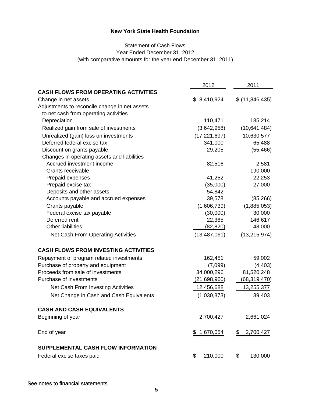# Statement of Cash Flows Year Ended December 31, 2012 (with comparative amounts for the year end December 31, 2011)

|                                               | 2012            | 2011            |
|-----------------------------------------------|-----------------|-----------------|
| <b>CASH FLOWS FROM OPERATING ACTIVITIES</b>   |                 |                 |
| Change in net assets                          | \$8,410,924     | \$ (11,846,435) |
| Adjustments to reconcile change in net assets |                 |                 |
| to net cash from operating activities         |                 |                 |
| Depreciation                                  | 110,471         | 135,214         |
| Realized gain from sale of investments        | (3,642,958)     | (10,641,484)    |
| Unrealized (gain) loss on investments         | (17, 221, 697)  | 10,630,577      |
| Deferred federal excise tax                   | 341,000         | 65,488          |
| Discount on grants payable                    | 29,205          | (55, 466)       |
| Changes in operating assets and liabilities   |                 |                 |
| Accrued investment income                     | 82,516          | 2,581           |
| Grants receivable                             |                 | 190,000         |
| Prepaid expenses                              | 41,252          | 22,253          |
| Prepaid excise tax                            | (35,000)        | 27,000          |
| Deposits and other assets                     | 54,842          |                 |
| Accounts payable and accrued expenses         | 39,578          | (85, 266)       |
| Grants payable                                | (1,606,739)     | (1,885,053)     |
| Federal excise tax payable                    | (30,000)        | 30,000          |
| Deferred rent                                 | 22,365          | 146,617         |
| <b>Other liabilities</b>                      | (82, 820)       | 48,000          |
| Net Cash From Operating Activities            | (13, 487, 061)  | (13, 215, 974)  |
| <b>CASH FLOWS FROM INVESTING ACTIVITIES</b>   |                 |                 |
| Repayment of program related investments      | 162,451         | 59,002          |
| Purchase of property and equipment            | (7,099)         | (4, 403)        |
| Proceeds from sale of investments             | 34,000,296      | 81,520,248      |
| Purchase of investments                       | (21,698,960)    | (68, 319, 470)  |
| Net Cash From Investing Activities            | 12,456,688      | 13,255,377      |
| Net Change in Cash and Cash Equivalents       | (1,030,373)     | 39,403          |
| <b>CASH AND CASH EQUIVALENTS</b>              |                 |                 |
| Beginning of year                             | 2,700,427       | 2,661,024       |
| End of year                                   | 1,670,054<br>\$ | \$<br>2,700,427 |
| <b>SUPPLEMENTAL CASH FLOW INFORMATION</b>     |                 |                 |
| Federal excise taxes paid                     | \$<br>210,000   | \$<br>130,000   |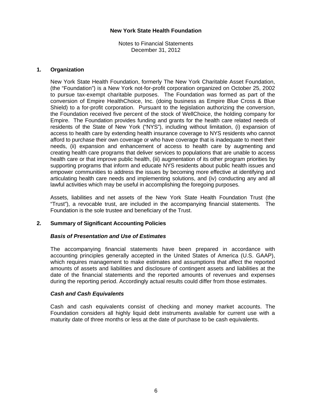Notes to Financial Statements December 31, 2012

# **1. Organization**

New York State Health Foundation, formerly The New York Charitable Asset Foundation, (the "Foundation") is a New York not-for-profit corporation organized on October 25, 2002 to pursue tax-exempt charitable purposes. The Foundation was formed as part of the conversion of Empire HealthChoice, Inc. (doing business as Empire Blue Cross & Blue Shield) to a for-profit corporation. Pursuant to the legislation authorizing the conversion, the Foundation received five percent of the stock of WellChoice, the holding company for Empire. The Foundation provides funding and grants for the health care related needs of residents of the State of New York ("NYS"), including without limitation, (i) expansion of access to health care by extending health insurance coverage to NYS residents who cannot afford to purchase their own coverage or who have coverage that is inadequate to meet their needs, (ii) expansion and enhancement of access to health care by augmenting and creating health care programs that deliver services to populations that are unable to access health care or that improve public health, (iii) augmentation of its other program priorities by supporting programs that inform and educate NYS residents about public health issues and empower communities to address the issues by becoming more effective at identifying and articulating health care needs and implementing solutions, and (iv) conducting any and all lawful activities which may be useful in accomplishing the foregoing purposes.

Assets, liabilities and net assets of the New York State Health Foundation Trust (the "Trust"), a revocable trust, are included in the accompanying financial statements. The Foundation is the sole trustee and beneficiary of the Trust.

# **2. Summary of Significant Accounting Policies**

# *Basis of Presentation and Use of Estimates*

The accompanying financial statements have been prepared in accordance with accounting principles generally accepted in the United States of America (U.S. GAAP), which requires management to make estimates and assumptions that affect the reported amounts of assets and liabilities and disclosure of contingent assets and liabilities at the date of the financial statements and the reported amounts of revenues and expenses during the reporting period. Accordingly actual results could differ from those estimates.

# *Cash and Cash Equivalents*

Cash and cash equivalents consist of checking and money market accounts. The Foundation considers all highly liquid debt instruments available for current use with a maturity date of three months or less at the date of purchase to be cash equivalents.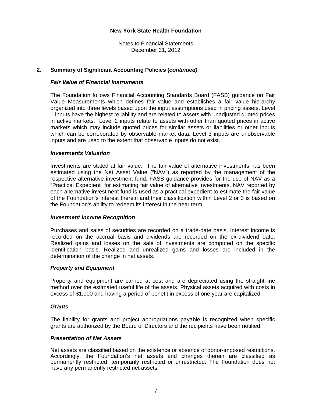Notes to Financial Statements December 31, 2012

# **2. Summary of Significant Accounting Policies (***continued)*

# *Fair Value of Financial Instruments*

The Foundation follows Financial Accounting Standards Board (FASB) guidance on Fair Value Measurements which defines fair value and establishes a fair value hierarchy organized into three levels based upon the input assumptions used in pricing assets. Level 1 inputs have the highest reliability and are related to assets with unadjusted quoted prices in active markets. Level 2 inputs relate to assets with other than quoted prices in active markets which may include quoted prices for similar assets or liabilities or other inputs which can be corroborated by observable market data. Level 3 inputs are unobservable inputs and are used to the extent that observable inputs do not exist.

#### *Investments Valuation*

Investments are stated at fair value. The fair value of alternative investments has been estimated using the Net Asset Value ("NAV") as reported by the management of the respective alternative investment fund. FASB guidance provides for the use of NAV as a "Practical Expedient" for estimating fair value of alternative investments. NAV reported by each alternative investment fund is used as a practical expedient to estimate the fair value of the Foundation's interest therein and their classification within Level 2 or 3 is based on the Foundation's ability to redeem its interest in the near term.

# *Investment Income Recognition*

Purchases and sales of securities are recorded on a trade-date basis. Interest income is recorded on the accrual basis and dividends are recorded on the ex-dividend date. Realized gains and losses on the sale of investments are computed on the specific identification basis. Realized and unrealized gains and losses are included in the determination of the change in net assets.

# *Property and Equipment*

Property and equipment are carried at cost and are depreciated using the straight-line method over the estimated useful life of the assets. Physical assets acquired with costs in excess of \$1,000 and having a period of benefit in excess of one year are capitalized.

#### *Grants*

 The liability for grants and project appropriations payable is recognized when specific grants are authorized by the Board of Directors and the recipients have been notified.

#### *Presentation of Net Assets*

Net assets are classified based on the existence or absence of donor-imposed restrictions. Accordingly, the Foundation's net assets and changes therein are classified as permanently restricted, temporarily restricted or unrestricted. The Foundation does not have any permanently restricted net assets.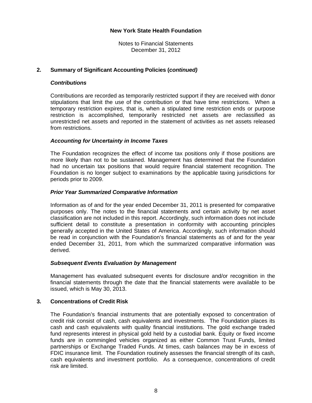Notes to Financial Statements December 31, 2012

# **2. Summary of Significant Accounting Policies (***continued)*

### *Contributions*

Contributions are recorded as temporarily restricted support if they are received with donor stipulations that limit the use of the contribution or that have time restrictions. When a temporary restriction expires, that is, when a stipulated time restriction ends or purpose restriction is accomplished, temporarily restricted net assets are reclassified as unrestricted net assets and reported in the statement of activities as net assets released from restrictions.

# *Accounting for Uncertainty in Income Taxes*

The Foundation recognizes the effect of income tax positions only if those positions are more likely than not to be sustained. Management has determined that the Foundation had no uncertain tax positions that would require financial statement recognition. The Foundation is no longer subject to examinations by the applicable taxing jurisdictions for periods prior to 2009.

#### *Prior Year Summarized Comparative Information*

Information as of and for the year ended December 31, 2011 is presented for comparative purposes only. The notes to the financial statements and certain activity by net asset classification are not included in this report. Accordingly, such information does not include sufficient detail to constitute a presentation in conformity with accounting principles generally accepted in the United States of America. Accordingly, such information should be read in conjunction with the Foundation's financial statements as of and for the year ended December 31, 2011, from which the summarized comparative information was derived.

# *Subsequent Events Evaluation by Management*

Management has evaluated subsequent events for disclosure and/or recognition in the financial statements through the date that the financial statements were available to be issued, which is May 30, 2013.

# **3. Concentrations of Credit Risk**

The Foundation's financial instruments that are potentially exposed to concentration of credit risk consist of cash, cash equivalents and investments. The Foundation places its cash and cash equivalents with quality financial institutions. The gold exchange traded fund represents interest in physical gold held by a custodial bank. Equity or fixed income funds are in commingled vehicles organized as either Common Trust Funds, limited partnerships or Exchange Traded Funds. At times, cash balances may be in excess of FDIC insurance limit. The Foundation routinely assesses the financial strength of its cash, cash equivalents and investment portfolio. As a consequence, concentrations of credit risk are limited.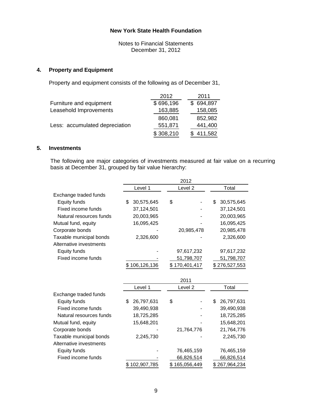Notes to Financial Statements December 31, 2012

# **4. Property and Equipment**

Property and equipment consists of the following as of December 31,

|                                | 2012      | 2011       |
|--------------------------------|-----------|------------|
| Furniture and equipment        | \$696,196 | \$ 694,897 |
| Leasehold Improvements         | 163,885   | 158,085    |
|                                | 860,081   | 852,982    |
| Less: accumulated depreciation | 551,871   | 441,400    |
|                                | \$308,210 | \$411,582  |

# **5. Investments**

The following are major categories of investments measured at fair value on a recurring basis at December 31, grouped by fair value hierarchy:

|                         | 2012 |               |               |                    |               |            |
|-------------------------|------|---------------|---------------|--------------------|---------------|------------|
|                         |      | Level 1       |               | Level <sub>2</sub> |               | Total      |
| Exchange traded funds   |      |               |               |                    |               |            |
| Equity funds            | \$   | 30,575,645    | \$            |                    | \$            | 30,575,645 |
| Fixed income funds      |      | 37,124,501    |               |                    |               | 37,124,501 |
| Natural resources funds |      | 20,003,965    |               |                    |               | 20,003,965 |
| Mutual fund, equity     |      | 16,095,425    |               |                    |               | 16,095,425 |
| Corporate bonds         |      |               |               | 20,985,478         |               | 20,985,478 |
| Taxable municipal bonds |      | 2,326,600     |               |                    |               | 2,326,600  |
| Alternative investments |      |               |               |                    |               |            |
| Equity funds            |      |               |               | 97,617,232         |               | 97,617,232 |
| Fixed income funds      |      |               |               | 51,798,707         |               | 51,798,707 |
|                         |      | \$106,126,136 | \$170,401,417 |                    | \$276,527,553 |            |
|                         |      |               |               |                    |               |            |
|                         |      |               |               |                    |               |            |
|                         |      |               | 2011          |                    |               |            |
|                         |      | Level 1       |               | Level <sub>2</sub> |               | Total      |
| Exchange traded funds   |      |               |               |                    |               |            |
| <b>Equity funds</b>     | \$   | 26,797,631    | \$            |                    | \$            | 26,797,631 |
| Fixed income funds      |      | 39,490,938    |               |                    |               | 39,490,938 |
| Natural resources funds |      | 18,725,285    |               |                    |               | 18,725,285 |
| Mutual fund, equity     |      | 15,648,201    |               |                    |               | 15,648,201 |
| Corporate bonds         |      |               |               | 21,764,776         |               | 21,764,776 |
| Taxable municipal bonds |      | 2,245,730     |               |                    |               | 2,245,730  |
| Alternative investments |      |               |               |                    |               |            |
| Equity funds            |      |               |               | 76,465,159         |               | 76,465,159 |
| Fixed income funds      |      |               |               | 66,826,514         |               | 66,826,514 |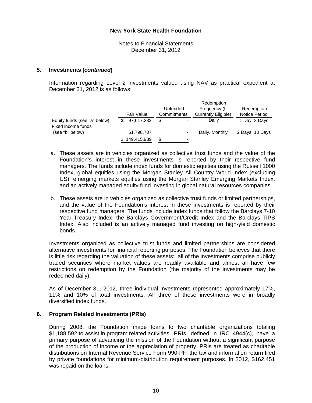Notes to Financial Statements December 31, 2012

### **5. Investments (***continued***)**

 Information regarding Level 2 investments valued using NAV as practical expedient at December 31, 2012 is as follows:

|                              |                   |             | Redemption          |                 |
|------------------------------|-------------------|-------------|---------------------|-----------------|
|                              |                   | Unfunded    | Frequency (If       | Redemption      |
|                              | Fair Value        | Commitments | Currently Eligible) | Notice Period   |
| Equity funds (see "a" below) | 97,617,232<br>\$. | ß.<br>-     | Daily               | 1 Day, 3 Days   |
| Fixed income funds           |                   |             |                     |                 |
| (see "b" below)              | 51,798,707        |             | Daily, Monthly      | 2 Days, 10 Days |
|                              | \$149,415,939     | -           |                     |                 |

- a. These assets are in vehicles organized as collective trust funds and the value of the Foundation's interest in these investments is reported by their respective fund managers. The funds include index funds for domestic equities using the Russell 1000 Index, global equities using the Morgan Stanley All Country World Index (excluding US), emerging markets equities using the Morgan Stanley Emerging Markets Index, and an actively managed equity fund investing in global natural resources companies.
- b. These assets are in vehicles organized as collective trust funds or limited partnerships, and the value of the Foundation's interest in these investments is reported by their respective fund managers. The funds include index funds that follow the Barclays 7-10 Year Treasury Index, the Barclays Government/Credit Index and the Barclays TIPS Index. Also included is an actively managed fund investing on high-yield domestic bonds.

Investments organized as collective trust funds and limited partnerships are considered alternative investments for financial reporting purposes. The Foundation believes that there is little risk regarding the valuation of these assets: all of the investments comprise publicly traded securities where market values are readily available and almost all have few restrictions on redemption by the Foundation (the majority of the investments may be redeemed daily).

As of December 31, 2012, three individual investments represented approximately 17%, 11% and 10% of total investments. All three of these investments were in broadly diversified index funds.

# **6. Program Related Investments (PRIs)**

During 2008, the Foundation made loans to two charitable organizations totaling \$1,188,592 to assist in program related activities. PRIs, defined in IRC 4944(c), have a primary purpose of advancing the mission of the Foundation without a significant purpose of the production of income or the appreciation of property. PRIs are treated as charitable distributions on Internal Revenue Service Form 990-PF, the tax and information return filed by private foundations for minimum-distribution requirement purposes. In 2012, \$162,451 was repaid on the loans.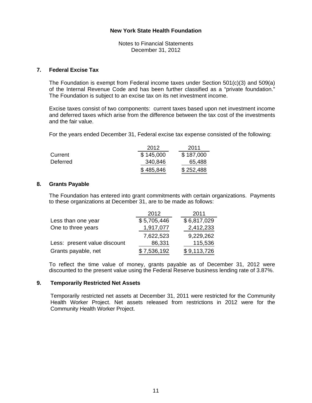Notes to Financial Statements December 31, 2012

### **7. Federal Excise Tax**

 The Foundation is exempt from Federal income taxes under Section 501(c)(3) and 509(a) of the Internal Revenue Code and has been further classified as a "private foundation." The Foundation is subject to an excise tax on its net investment income.

 Excise taxes consist of two components: current taxes based upon net investment income and deferred taxes which arise from the difference between the tax cost of the investments and the fair value.

For the years ended December 31, Federal excise tax expense consisted of the following:

|                 | 2012      | 2011      |
|-----------------|-----------|-----------|
| Current         | \$145,000 | \$187,000 |
| <b>Deferred</b> | 340,846   | 65,488    |
|                 | \$485,846 | \$252,488 |

#### **8. Grants Payable**

 The Foundation has entered into grant commitments with certain organizations. Payments to these organizations at December 31, are to be made as follows:

| \$6,817,029 |
|-------------|
| 2,412,233   |
| 9,229,262   |
| 115,536     |
| \$9,113,726 |
|             |

 To reflect the time value of money, grants payable as of December 31, 2012 were discounted to the present value using the Federal Reserve business lending rate of 3.87%.

#### **9. Temporarily Restricted Net Assets**

Temporarily restricted net assets at December 31, 2011 were restricted for the Community Health Worker Project. Net assets released from restrictions in 2012 were for the Community Health Worker Project.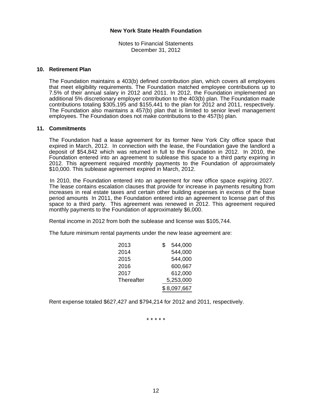Notes to Financial Statements December 31, 2012

# **10. Retirement Plan**

 The Foundation maintains a 403(b) defined contribution plan, which covers all employees that meet eligibility requirements. The Foundation matched employee contributions up to 7.5% of their annual salary in 2012 and 2011. In 2012, the Foundation implemented an additional 5% discretionary employer contribution to the 403(b) plan. The Foundation made contributions totaling \$305,195 and \$155,441 to the plan for 2012 and 2011, respectively. The Foundation also maintains a 457(b) plan that is limited to senior level management employees. The Foundation does not make contributions to the 457(b) plan.

#### **11. Commitments**

 The Foundation had a lease agreement for its former New York City office space that expired in March, 2012. In connection with the lease, the Foundation gave the landlord a deposit of \$54,842 which was returned in full to the Foundation in 2012. In 2010, the Foundation entered into an agreement to sublease this space to a third party expiring in 2012. This agreement required monthly payments to the Foundation of approximately \$10,000. This sublease agreement expired in March, 2012.

 In 2010, the Foundation entered into an agreement for new office space expiring 2027. The lease contains escalation clauses that provide for increase in payments resulting from increases in real estate taxes and certain other building expenses in excess of the base period amounts In 2011, the Foundation entered into an agreement to license part of this space to a third party. This agreement was renewed in 2012. This agreement required monthly payments to the Foundation of approximately \$6,000.

Rental income in 2012 from both the sublease and license was \$105,744.

The future minimum rental payments under the new lease agreement are:

| 2013       | \$<br>544,000 |
|------------|---------------|
| 2014       | 544,000       |
| 2015       | 544,000       |
| 2016       | 600,667       |
| 2017       | 612,000       |
| Thereafter | 5,253,000     |
|            | \$8,097,667   |

Rent expense totaled \$627,427 and \$794,214 for 2012 and 2011, respectively.

\* \* \* \* \*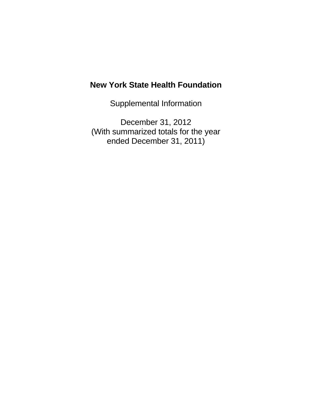Supplemental Information

December 31, 2012 (With summarized totals for the year ended December 31, 2011)